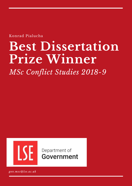Konrad Pialucha

# **Best Dissertation Prize Winner**

*MSc Conflict Studies 2018-9*



Department of Government

*gov.msc@lse.ac.uk*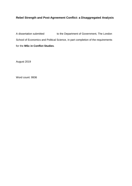## **Rebel Strength and Post-Agreement Conflict: a Disaggregated Analysis**

A dissertation submitted to the Department of Government, The London School of Economics and Political Science, in part completion of the requirements for the **MSc in Conflict Studies**.

August 2019

Word count: 9936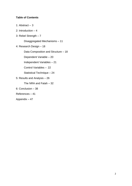## **Table of Contents**

- 1: Abstract 3 2: Introduction – 4 3: Rebel Strength – 7 Disaggregated Mechanisms – 11 4: Research Design – 18 Data Composition and Structure – 18 Dependent Variable – 20 Independent Variables – 21 Control Variables – 22 Statistical Technique – 24 5: Results and Analysis – 26 The NRA and Fatah – 32 6: Conclusion – 38
- References 41
- Appendix 47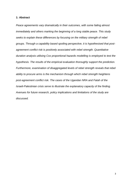#### **1: Abstract**

*Peace agreements vary dramatically in their outcomes, with some failing almost immediately and others marking the beginning of a long stable peace. This study seeks to explain these differences by focusing on the military strength of rebel groups. Through a capability based spoiling perspective, it is hypothesised that postagreement conflict risk is positively associated with rebel strength. Quantitative duration analysis utilising Cox proportional hazards modelling is employed to test the hypothesis. The results of the empirical evaluation thoroughly support the prediction. Furthermore, examination of disaggregated levels of rebel strength reveals that rebel ability to procure arms is the mechanism through which rebel strength heightens post-agreement conflict risk. The cases of the Ugandan NRA and Fatah of the Israeli-Palestinian crisis serve to illustrate the explanatory capacity of the finding. Avenues for future research, policy implications and limitations of the study are discussed.*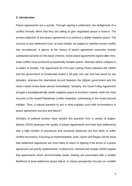#### **2: Introduction**

Peace agreements are a puzzle. Through signing a settlement, the belligerents of a conflict formally affirm that they are willing to give negotiated peace a chance. The primary objective of any peace agreement is to produce a stable negative peace. The success of any settlement must, at least initially, be judged on whether armed conflict has recrudesced. A glance at the history of peace agreement outcomes reveals substantial variation on this basic criterion. Some peace agreements signed after intrastate conflict have produced exceptionally durable peace, whereas others collapse in a matter of months. The Agreement for Firm and Lasting Peace between the URNG and the government of Guatemala ended a 36-year civil war and has stood for two decades, whereas the Islamabad Accord between the Afghan government and the Hezb-i-Islami broke down almost immediately. Similarly, the Good Friday Agreement brought a paradigmatically stable negative peace to Northern Ireland, while the Oslo Accords of the Israeli-Palestinian conflict imploded, culminating in the brutal Second Intifada. Thus, a natural question to ask is what explains such wild inconsistency in peace agreement success and failure?

Scholars of political science have tackled this question from a variety of angles. Badran (2014) assesses the quality of peace agreements and finds that settlements with a high number of procedural and structural measures are less likely to suffer conflict recurrence. Focusing on implementation Joshi, Quinn and Regan (2015) show that settlement signatories are more likely to return to fighting if the terms of a peace agreement are poorly implemented. Furthermore, Hartzell and Hoddie (2003) explain that agreements which accommodate power sharing are associated with a smaller likelihood of post-settlement peace failure. A classic perspective focuses on credible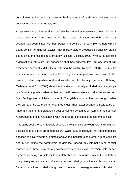commitment and accordingly stresses the importance of third-party mediation for a successful agreement (Walter, 1997).

An approach which has received markedly less attention in assessing determinants of peace agreement failure focuses on the strength of actors. More broadly, actor strength has been linked with both peace and conflict. For example, authors writing about conflict termination explain that military victory produces surprisingly stable peace since the losing side is militarily nullified (Licklider, 1995). Without a sufficient organisational structure, an opposition that has suffered total military defeat will experience substantial difficulty in restarting the conflict (Wagner, 1993). This results in a scenario where what is left of the losing side's support base must tolerate the reality of defeat, regardless of their dissatisfaction. Additionally, the work of Buhaug, Cederman and Rød (2008) show that the size of politically excluded minority groups is a factor that predicts whether that group will take to violence to alter the status quo. Such findings are reminiscent of the old Thucydidean adage that the strong do what they can and the weak suffer what they must. Thus, actor strength is likely to be an important factor in understanding post-settlement dynamics of internal armed conflict recurrence due to its relationship with the broader concepts of peace and conflict.

This study seeks to quantitatively assess the relationship between actor strength and the likelihood of peace agreement failure. Walter (2004) observes that rebel groups as opposed to governments are almost always the instigators of internal armed conflicts and in turn define the parameters of violence. Indeed, any internal armed conflict represents a threat to a state government's monopoly over coercion, with peace agreements being a vehicle for its re-establishment. The onus to take to the battlefield in a post-agreement scenario therefore rests on rebel groups. Hence, this study shall focus on variations of rebel strength and its relation to post-agreement conflict risk.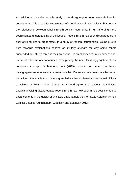An additional objective of this study is to disaggregate rebel strength into its components. This allows for examination of specific causal mechanisms that govern the relationship between rebel strength conflict recurrence, in turn affording more sophisticated understanding of the issues. Rebel strength has been disaggregated in qualitative studies to great effect. In a study of African insurgencies, Young (1996) puts forwards explanations centred on military strength for why some rebels succeeded and others failed in their ambitions. He emphasises the multi-dimensional nature of rebel military capabilities, exemplifying the need for disaggregation of this composite concept. Furthermore, Jo's (2015) research on rebel compliance disaggregates rebel strength to assess how the different sub-mechanisms affect rebel behaviour. She is able to achieve a granularity in her explanations that would difficult to achieve by treating rebel strength as a broad aggregated concept. Quantitative analysis involving disaggregated rebel strength has now been made possible due to advancements in the quality of available data, namely the Non-State Actors in Armed Conflict Dataset (Cunningham, Gleditsch and Salehyan 2013).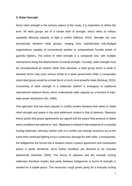#### **3: Rebel Strength**

Since rebel strength is the primary aspect of this study, it is imperative to define the term. All rebel groups are of a certain level of strength, which refers to military capability affecting capacity to fight a conflict (Nilsson, 2010). Strength can vary dramatically between rebel groups, ranging from sophisticated fully-fledged organisations capable of conventional warfare to comparatively humble bands of guerrilla fighters. The notion of rebel strength is a composite one, with multiple mechanisms being the determinants of overall strength. Crucially, rebel strength must be conceptualised as relative rather than absolute: a rebel group which is weak in absolute terms may pose serious threat to a weak government while a comparably sized rebel group would be a trivial foe to a much more powerful state (Buhaug, 2010). Conceiving of rebel strength in a relativistic fashion is analogous to traditional international relations theory which understands state capacity as a function of interstate power distribution (Art, 1980).

One approach that has been popular in conflict studies literature that seeks to relate rebel strength and peace in the post-settlement context is that of ripeness. Ripeness theory posits that peace agreements are signed and the peace they produce is stable when conditions are optimal or 'ripe'. Ripeness is related to the existence of a mutually hurting stalemate, whereby neither side of a conflict can emerge victorious but at the same time continued fighting incurs continuous damage for both sides. Consequently, the belligerents are forced into a situation where a peace agreement and subsequent peace is jointly beneficial, since further hostilities are doomed to be mutually detrimental (Zartman, 2000). The theory of ripeness and the mutually hurting stalemate therefore implies that parity between belligerents in terms of strength is needed for a stable peace. The necessary rough power parity for a mutually hurting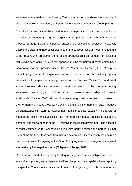stalemate to materialise is depicted by Zartman as a scenario where 'the upper hand slips and the lower hand rises, both parties moving towards equality' (2000, p.228).

The simplicity and accessibility of ripeness perhaps accounts for its popularity as identified by Duursma (2014), who explains that ripeness features heavily in peace process strategy literature aimed at practitioners of conflict resolution. However, despite the ease and theoretical elegance of the concept, scholarly work has found it to be fraught with problems. Some of the strongest criticism comes from Kleiboer (1994) who persuasively argues that ripeness and the mutually hurting stalemate have weak analytical and practical uses. Schrodt, Yimaz and Gerner (2003) attempt to quantitatively assess the explanatory power of ripeness and the mutually hurting stalemate with respect to peace processes of the Balkans, Middle East and West Africa. However, despite numerous operationalisations of the mutually hurting stalemate, they struggle to find evidence of ripeness' relationship with peace. Additionally, O'Kane (2006) critiques ripeness through qualitative methods, assessing the Northern Irish peace process. He explains that in the Northern Irish case, ripeness as characterised by Zartman (2000) has feeble predictive capacity. The failure of ripeness to explain the success of the Northern Irish peace process is especially pertinent due the weakness of the IRA relative to the British government. The absence of what Zartman (2000) construes as requisite parity between the parties did not prevent the Northern Irish case from being a celebrated success of conflict resolution techniques: since the signing of the Good Friday Agreement, the region has enjoyed a remarkably firm negative peace (Gilligan and Tonge, 2019).

Ripeness falls short of being a way to adequately grasp the relationship between rebel strength and post-agreement peace. A different approach is a capability based spoiling perspective. The issue is thus viewed in terms of bargaining, which is understood as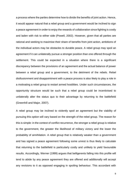a process where the parties determine how to divide the benefits of joint action. Hence, it would appear natural that a rebel group and a government would be inclined to sign a peace agreement in order to enjoy the rewards of collaboration since fighting is costly and laden with risk to either side (Powell, 2002). However, given that all parties are rational and seeking to maximise their share of benefits from joint action, ambitions of the individual actors may be obstacles to durable peace. A rebel group may spoil an agreement if it can unilaterally pursue a stronger position than one offered through the settlement. This could be expected in a situation where there is a significant discrepancy between the provisions of an agreement and the actual balance of power between a rebel group and a government, to the detriment of the rebels. Rebel disillusionment and disappointment with a peace process is also likely to play a role in a motivating a rebel group to restart armed hostilities. Under such circumstances, the opportunity structure would be such that a rebel group could be incentivised to unilaterally alter the status quo to their advantage by returning to the battlefield (Greenhill and Major, 2007).

A rebel group may be inclined to violently spoil an agreement but the viability of pursuing this option will vary based on the strength of the rebel group. The reason for this is simple: in the context of conflict recurrence, the stronger a rebel group is relative to the government, the greater the likelihood of military victory and the lower the probability of annihilation. A rebel group that is relatively weaker than a government and has signed a peace agreement following some unrest is thus likely to calculate that returning to the battlefield is particularly costly and unlikely to yield favourable results. Accordingly, Werner (1999) argues that belligerents falling into this profile will tend to abide by any peace agreement they are offered and additionally will accept any revisions to it as opposed engaging in spoiling behaviour. This accordant with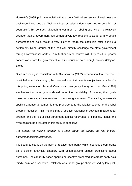Horowitz's (1985, p.241) formulation that factions 'with a keen sense of weakness are easily convinced' and that 'their only hope of resisting domination lies in some form of separation'. By contrast, although uncommon, a rebel group which is relatively stronger than a government has comparatively few reasons to abide by any peace agreement and as a result is very likely to return the battlefield after signing a settlement. Rebel groups of this sort can directly challenge the state government through conventional warfare. Any further armed contest will likely result in greater concessions from the government at a minimum or even outright victory (Clayton, 2013).

Such reasoning is consistent with Clausewitz's (1982) observation that the more restricted an actor's strength, the more restricted its immediate objectives must be. On this point, writers of classical Communist insurgency theory such as Mao (1961) emphasise that rebel groups should determine the viability of pursuing their goals based on their capabilities relative to the state government. The viability of violently spoiling a peace agreement is thus proportional to the relative strength of the rebel group in question. This means that a positive relationship between relative rebel strength and the risk of post-agreement conflict recurrence is expected. Hence, the hypothesis to be evaluated in this study is as follows:

*The greater the relative strength of a rebel group, the greater the risk of postagreement conflict recurrence.*

It is useful to clarify on the point of relative rebel parity, which ripeness theory treats as a distinct analytical category with accompanying unique predictions about outcomes. The capability based spoiling perspective presented here treats parity as a middle point on a spectrum. Relatively weak rebel groups characterised by low post-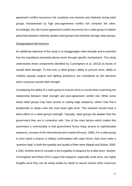agreement conflict recurrence risk constitute one extreme and relatively strong rebel groups characterised by high post-agreement conflict risk comprise the other. Accordingly, the risk of post-agreement conflict recurrence for a rebel group of relative parity falls between relatively weaker rebel groups and relatively stronger rebel groups.

#### Disaggregated Mechanisms

An additional objective of this study is to disaggregate rebel strength and to examine how the hypothesis presented above works through specific mechanisms. This study understands those components identified by Cunningham et al. (2013) as facets of overall rebel strength. To this end, a rebel group's ability to procure arms, ability to mobilise popular support and fighting proficiency are considered as the elements which comprise overall rebel strength.

Considering the ability of a rebel group to procure arms is crucial when examining the relationship between rebel strength and post-agreement conflict risk. While some select rebel groups may have access to cutting edge weaponry, others may find it problematic to obtain even the most basic light arms. This variation should have a direct effect on a rebel group's strength. Typically, rebel groups are weaker than the government they are in contention with. One of the main factors which makes this asymmetry a commonality is that government forces enjoy access to sophisticated weaponry, courtesy of the international arms market (Krause, 1995). For a rebel group to even stand a chance in military confrontation with state forces, they must make a 'quantum leap' in both the quantity and quality of their arms (Nepali and Subba, 2005, p.106). Another point to consider is the fungibility of weapons for a rebel actor. Sawyer, Cunningham and Reed (2017) argue that weapons, especially small arms, are highly fungible since they can be easily traded by rebels to secure various other resources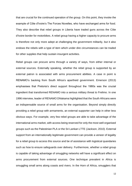that are crucial for the continued operation of the group. On this point, they invoke the example of Côte d'Ivoire's The Forces Novelles, who have exchanged arms for food. They also describe that rebel groups in Liberia have traded guns across the Côte d'Ivoire border for motorbikes. A rebel group having a higher capacity to procure arms is therefore not only more adept at challenging the government militarily, but it also endows the rebels with a type of item which under dire circumstances can be traded for other supplies that help sustain insurgent activities.

Rebel groups can procure arms through a variety of ways, from either internal or external sources. Externally speaking, whether the rebel group is supported by an external patron is associated with arms procurement abilities. A case in point is RENAMO's backing from South Africa's apartheid government. Emerson (2013) emphasises that Pretoria's direct support throughout the 1980s was the crucial ingredient that transformed RENAMO into a serious military threat to Frelimo. In one 1996 interview, leader of RENAMO Dhlakama highlighted that the South Africans were an indispensable source of small arms for the organisation. Beyond simply directly providing a rebel group with armaments, an external supporter can help in other less obvious ways. For example, very few rebel groups are able to take advantage of the international arms market, with access being reserved for only the most well organised groups such as the Palestinian PLA or the Sri Lankan LTTE (Jackson, 2010). External support from an internationally legitimate government can provide a veneer of legality for a rebel group to access this source and be of assistance with logistical quandaries such as how to ensure safeguards over delivery. Furthermore, whether a rebel group is capable of taking advantage of smuggling networks will have a significant effect on arms procurement from external sources. One technique prevalent in Africa is smuggling small arms along coasts and rivers. In the Horn of Africa, smugglers that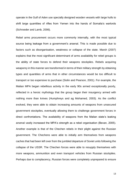operate in the Gulf of Aden use specially designed wooden vessels with large hulls to shift large quantities of rifles from Yemen into the hands of Somalia's warlords (Schroeder and Lamb, 2006).

Rebel arms procurement occurs more commonly internally, with the most typical source being leakage from a government's arsenal. This is made possible due to factors such as disorganisation, weakness or collapse of the state. Marsh (2007) explains that the most significant determinant of arms availability for rebel groups is the ability of state forces to defend their weapons stockpiles. Rebels acquiring weaponry in this manner are transformed in terms of their military strength by obtaining types and quantities of arms that in other circumstances would be too difficult to transport or too expensive to purchase (Sislin and Pearson, 2001). For example, the Malian MPA began rebellious activity in the early 90s armed exceptionally poorly, reflected in a heroic mythology that the group began their insurgency armed with nothing more than knives (Humphreys and ag Mohamed, 2003). As the conflict evolved, they were able to obtain increasing amounts of weapons from unsecured government stockpiles, eventually allowing them to challenge government forces in direct confrontations. The availability of weapons from the Malian state's leaking arsenal vastly increased the MPA's strength as a rebel organisation (Bevan, 2005). Another example is that of the Chechen rebels in their plight against the Russian government. The Chechens were able to initially arm themselves from weapons caches that had been left over from the jumbled departure of Soviet units following the collapse of the USSR. The Chechen forces were able to resupply themselves with more weapons, ammunition and even transport vehicles from Russian stockpiles. Perhaps due to complacency, Russian forces were completely unprepared to ensure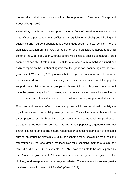the security of their weapon depots from the opportunistic Chechens (Dilegge and Konynenburg, 2002).

Rebel ability to mobilise popular support is another facet of overall rebel strength which may influence post-agreement conflict risk. A requisite for a rebel group initiating and sustaining any insurgent operations is a continuous stream of new recruits. There is significant variation on this factor, since some rebel organisations appeal to a small cohort of the wider population whereas others will be able to entice a comparably large segment of society (Olzak, 2006). The ability of a rebel group to mobilise support has a direct impact on the number of fighters that the group can mobilise against the state government. Weinstein (2005) proposes that rebel groups have a mixture of economic and social endowments which ultimately determine their ability to mobilise popular support. He explains that rebel groups which are high on both types of endowment have the greatest capacity for obtaining new recruits whereas those which are low on both dimensions will face the most arduous task of attracting support for their cause.

Economic endowments refer to material supplies which can be utilised to satisfy the logistic requisites of organising insurgent action. They allow a rebel leadership to attract potential recruits through short term rewards. For some rebel groups, they are able to reap the economic benefits of taxing a local populace, a generous external patron, extracting and selling natural resources or conducting some sort of profitable criminal enterprise (Weinstein, 2005). Such economic resources can be mobilised and transformed by the rebel group into incentives for prospective members to join their ranks (Le Billon, 2001). For example, RENAMO was fortunate to be well supplied by the Rhodesian government. All new recruits joining the group were given shelter, clothing, food, weaponry and even regular salaries. These material incentives greatly catalysed the rapid growth of RENAMO (Vines, 2013).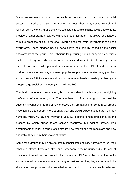Social endowments include factors such as behavioural norms, common belief systems, shared expectations and communal trust. These may derive from shared religion, ethnicity or cultural identity. As Weinstein (2005) explains, social endowments provide for a generalized reciprocity among group members. This allows rebel leaders to make promises of future material rewards once the state government has been overthrown. These pledges have a certain level of credibility based on the social endowments of the group. This technique for procuring popular support is especially useful for rebel groups who are low on economic endowments. An illustrating case is the EPLF of Eritrea, who pursued ambitions of autarky. The EPLF found itself in a position where the only way to muster popular support was to make many promises about what an EPLF victory would bestow on its membership, made possible by the group's large social endowment (Woldemikael, 1991).

The third component of rebel strength to be considered in this study is the fighting proficiency of the rebel group. The membership of a rebel group may exhibit substantial variation in terms of how effective they are at fighting. Some rebel groups have fighters that perform more strongly than one would expect based purely on their numbers. Millet, Murray and Watman (1986, p.37) define fighting proficiency as 'the process by which armed forces convert resources into fighting power'. Two determinants of rebel fighting proficiency are how well trained the rebels are and how adaptable they are in their choice of tactics.

Some rebel groups may be able to obtain sophisticated military hardware to fuel their rebellious efforts. However, often such weaponry remains unused due to lack of training and knowhow. For example, the Sudanese SPLA was able to capture tanks and armoured personnel carriers on many occasions, yet they largely remained idle since the group lacked the knowledge and skills to operate such vehicles.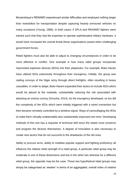Mozambique's RENAMO experienced similar difficulties and employed nothing larger than motorbikes for transportation despite capturing heavily armoured vehicles on many occasions (Young, 1996). In both cases, if SPLA and RENAMO fighters were trained such that they had the expertise to operate sophisticated military hardware, it would have increased the overall threat these organisations posed when challenging government forces.

Rebel fighters must also be able to adjust to changing circumstances in order to be more effective in conflict. One example is how many rebel groups incorporate improvised explosive devices (IEDs) into their playbooks. For example, Boko Haram have utilised IEDs extensively throughout their insurgency. Initially, the group was raiding convoys of the Niger army through direct firefights, often resulting in heavy casualties. In order to adapt, Boko Haram expanded their tactics to include IEDs which would be placed at the roadside, substantially reducing the risk associated with attacking an enemy convoy (Onuoha, 2014). As the insurgency developed, so too did the complexity of the IEDs which were initially triggered with a wired connection but then became remotely controlled by a wireless signal. Ways of camouflaging the IEDs to make them virtually undetectable also substantially improved over time. Developing methods of this sort has a requisite of technical skill since the rebels must construct and program the devices themselves. A degree of innovation is also necessary to create new tactics that do not succumb to the drawbacks of the old ones.

Ability to procure arms, ability to mobilise popular support and fighting proficiency all influence the relative rebel strength of a rebel group. A particular rebel group may be moderate in one of these dimensions and low in the other two whereas for a different rebel group, the opposite may be the case. These two hypothetical rebel groups may simply be categorised as 'weaker' in terms of an aggregated, overall index of relative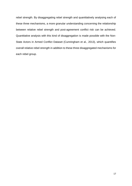rebel strength. By disaggregating rebel strength and quantitatively analysing each of these three mechanisms, a more granular understanding concerning the relationship between relative rebel strength and post-agreement conflict risk can be achieved. Quantitative analysis with this kind of disaggregation is made possible with the Non-State Actors in Armed Conflict Dataset (Cunningham et al., 2013), which quantifies overall relative rebel strength in addition to these three disaggregated mechanisms for each rebel group.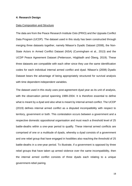#### **4: Research Design**

#### Data Composition and Structure

The data are from the Peace Research Institute Oslo (PRIO) and the Uppsala Conflict Data Program (UCDP). The dataset used in this study has been constructed through merging three datasets together, namely Nilsson's Dyadic Dataset (2008), the Non-State Actors in Armed Conflict Dataset (NSA) (Cunningham et al., 2013) and the UCDP Peace Agreement Dataset (Pettersson, Högbladh and Öberg, 2019). These three datasets are compatible with each other since they use the same identification codes for each individual internal armed conflict and dyad. Nilsson's (2008) Dyadic Dataset bears the advantage of being appropriately structured for survival analysis with time dependent independent variables.

The dataset used in this study uses post-agreement dyad year as its unit of analysis, with the observation period spanning 1989-2004. It is therefore essential to define what is meant by a dyad and also what is meant by internal armed conflict. The UCDP (2019) defines internal armed conflict as a disputed incompatibility with respect to territory, government or both. This contestation occurs between a government and a respective domestic oppositional organisation and must reach a threshold level of 25 battle-deaths within a one-year period to qualify. These internal armed conflicts are comprised of one or a multitude of dyads, whereby a dyad consists of a government and one rebel group that have engaged in hostilities also reaching the threshold of 25 battle-deaths in a one-year period. To illustrate, if a government is opposed by three rebel groups that have taken up armed violence over the same incompatibility, then the internal armed conflict consists of three dyads each relating to a unique government-rebel pairing.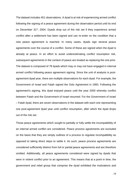The dataset includes 451 observations. A dyad is at risk of experiencing armed conflict following the signing of a peace agreement during the observation period until its end on December 31<sup>st</sup>, 2004. Dyads drop out of the risk set if they experience armed conflict after a settlement has been signed and can re-enter on the condition that a new peace agreement is reached. In many cases, dyads sign several peace agreements over the course of a conflict. Some of these are signed when the dyad is already at peace. In an effort to avoid underestimating conflict resumption risk, subsequent agreements in the context of peace are treated as replacing the one prior. The dataset is composed of 78 dyads which may or may not have engaged in internal armed conflict following peace agreement signing. Since the unit of analysis is postagreement dyad year, there are multiple observations for each dyad. For example, the Government of Israel and Fatah signed the Oslo Agreement in 1993. Following the agreement's signing, this dyad enjoyed peace until the year 2000 whereby conflict between Fatah and the Government of Israel resumed. For the Government of Israel – Fatah dyad, there are seven observations in the dataset with each one representing one post-agreement dyad year until conflict resumption, after which the dyad drops out of the risk set.

Those peace agreements which sought to partially or fully settle the incompatibility of an internal armed conflict are considered. Peace process agreements are excluded on the basis that they are simply outlines of a process to regulate incompatibility as opposed to taking direct steps to settle it. As such, peace process agreements are considered sufficiently distinct from full or partial peace agreements and are therefore omitted. Additionally, all peace agreements considered were signed by dyads that were in violent conflict prior to an agreement. This means that at a point in time, the government and rebel group that comprise the dyad exhibited the motivations and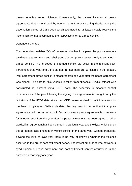means to utilise armed violence. Consequently, the dataset includes all peace agreements that were signed by one or more formerly warring dyads during the observation period of 1989-2004 which attempted to at least partially resolve the incompatibility that accompanied the respective internal armed conflict.

#### Dependent Variable

The dependent variable *'failure'* measures whether in a particular post-agreement dyad year, a government and rebel group that comprise a respective dyad engaged in armed conflict. This is coded 1 if armed conflict did occur in the relevant postagreement dyad year and 0 if it did not. In total there are 55 failures in the dataset. Post-agreement armed conflict is measured from the year after the peace agreement was signed. The data for this variable is taken from Nilsson's Dyadic Dataset who constructed her dataset using UCDP data. The necessity to measure conflict occurrence as of the year following the signing of an agreement is brought on by the limitations of the UCDP data, since the UCDP measures dyadic conflict behaviour on the level of dyad-year. With such data, the only way to be confident that postagreement conflict occurrence did in fact occur after a peace agreement is to measure for its occurrence from the year after the peace agreement has been signed. In other words, if an agreement has been signed in a particular year and the dyad which signed the agreement also engaged in violent conflict in the same year, without granularity beyond the level of dyad-year there is no way of knowing whether the violence occurred in the pre or post settlement period. The lowest amount of time between a dyad signing a peace agreement and post-settlement conflict occurrence in the dataset is accordingly one year.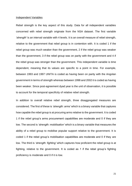#### Independent Variables

Rebel strength is the key aspect of this study. Data for all independent variables concerned with rebel strength originate from the NSA dataset. The first variable *'strength'* is an interval variable with 4 levels. It is an overall measure of rebel strength, relative to the government that rebel group is in contention with. It is coded 1 if the rebel group was much weaker than the government, 2 if the rebel group was weaker than the government, 3 if the rebel group was on parity with the government and 4 if the rebel group was stronger than the government. This independent variable is time dependent, meaning that its values are specific to a point in time. For example, between 1993 and 1997 UNITA is coded as having been on parity with the Angolan government in terms of strength whereas between 1998 and 2002 it is coded as having been weaker. Since post-agreement dyad year is the unit of observation, it is possible to account for the temporal specificity of relative rebel strength.

In addition to overall relative rebel strength, three disaggregated measures are considered. The first of these is *'strength: arms'* which is a binary variable that captures how capable the rebel group is at procuring arms relative to the government. It is coded 1 if the rebel group's arms procurement capabilities are moderate and 0 if they are low. The second is *'strength: mobilisation'* which is a binary variable that measures the ability of a rebel group to mobilise popular support relative to the government. It is coded 1 if the rebel group's mobilisation capabilities are moderate and 0 if they are low. The third is *'strength: fighting'* which captures how proficient the rebel group is at fighting, relative to the government. It is coded as 1 if the rebel group's fighting proficiency is moderate and 0 if it is low.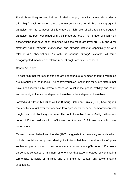For all three disaggregated indices of rebel strength, the NSA dataset also codes a third 'high' level. However, these are extremely rare in all three disaggregated variables. For the purposes of this study the high level of all three disaggregated variables has been combined with their moderate level. The number of such high observations that have been combined with the moderate level are 8, 6 and 3 for *'strength: arms'*, *'strength: mobilisation'* and *'strength: fighting'* respectively out of a total of 451 observations. As with the generic *'strength'* variable, all three disaggregated measures of relative rebel strength are time dependent.

#### Control Variables

To ascertain that the results attained are not spurious, a number of control variables are introduced to the models. The control variables used in this study are factors that have been identified by previous research to influence peace stability and could subsequently influence the dependent variable or the independent variables.

Jarstad and Nilsson (2008) as well as Buhaug, Gates and Lujala (2009) have argued that conflicts fought over territory have lower prospects for peace compared conflicts fought over control of the government. The control variable *'incompatibility'* is therefore coded 1 if the dyad was in conflict over territory and 0 if it was in conflict over government.

Research from Hartzell and Hoddie (2003) suggests that peace agreements which include provisions for power sharing institutions heighten the durability of postsettlement peace. As such, the control variable *'power sharing'* is coded 1 if a peace agreement contained a minimum of one pact that accommodated power sharing territorially, politically or militarily and 0 if it did not contain any power sharing stipulations.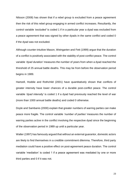Nilsson (2008) has shown that if a rebel group is excluded from a peace agreement then the risk of this rebel group engaging in armed conflict increases. Resultantly, the control variable *'excluded'* is coded 1 if in a particular year a dyad was excluded from a peace agreement that was signed by other dyads in the same conflict and coded 0 if the dyad was not excluded.

Although counter-intuitive Mason, Weingarten and Fett (1999) argue that the duration of a conflict is positively associated with the stability of post-conflict peace. The control variable *'dyad duration'* measures the number of years from when a dyad reached the threshold of 25 annual battle deaths. This may be from before the observation period begins in 1989.

Hartzell, Hoddie and Rothchild (2001) have quantitatively shown that conflicts of greater intensity have lower chances of a durable post-conflict peace. The control variable *'dyad intensity'* is coded 1 if a dyad had previously reached the level of war (more than 1000 annual battle deaths) and coded 0 otherwise.

Doyle and Sambanis (2000) explain that greater numbers of warring parties can make peace more fragile. The control variable *'number of parties'* measures the number of warring parties active in the conflict involving the respective dyad since the beginning of the observation period in 1989 up until a particular year.

Walter (1997) has famously argued that without an external guarantor, domestic actors are likely to find themselves in a credible commitment dilemma. Therefore, third party mediation could have a positive effect on post-agreement peace duration. The control variable 'mediation' is coded 1 if a peace agreement was mediated by one or more third parties and 0 if it was not.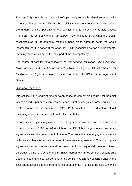Fortna (2003) contends that the quality of a peace agreement is related to the longevity of post-conflict peace. Specifically, she explains that those agreements which address the underlying incompatibility of the conflict lead to particularly durable peace. Therefore, the control variable *'agreement type'* is coded 1 for what the UCDP recognizes as full agreements, meaning those which agree to settle the whole incompatibility. It is coded 0 for what the UCDP recognizes as partial agreements, meaning those which agree to settle part of the incompatibility.

The source of data for *'incompatibility'*, *'power sharing'*, *'excluded'*, *'dyad duration'*, *'dyad intensity'* and *'number of parties'* is Nilsson's Dyadic Dataset whereas for *'mediation'* and *'agreement type'* the source of data is the UCDP Peace Agreement Dataset.

#### Statistical Technique

Interest lies in the length of time between peace agreement signing up until the point where a dyad experiences conflict recurrence. Duration analysis is carried out utilising a Cox proportional hazards model (Cox, 1972) which has the advantage of not assuming a specific parametric form for the distribution.

In some cases, dyads may experience post-agreement violence more than once. For example, between 1989 and 2004 in Liberia, the INPFL have signed numerous peace agreements with the government of Liberia. The two sides have engaged in violence with one another after more than one of these peace agreements. The risk of postagreement armed conflict therefore develops in a sequential manner. Stated differently, the risk of a dyad engaging in post-agreement armed conflict a second time does not begin until post-agreement armed conflict has already occurred once in the past and a second peace agreement has been signed. In order to be able to handle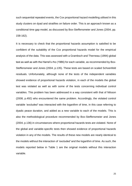such sequential repeated events, the Cox proportional hazard modelling utilised in this study clusters on dyad and stratifies on failure order. This is an approach known as a conditional time gap model, as discussed by Box-Steffensmeier and Jones (2004, pp. 158-162).

It is necessary to check that the proportional hazards assumption is satisfied to be confident of the suitability of the Cox proportional hazards model for the empirical analysis of the data. This was assessed with a Grambsch and Therneau (1994) global test as well as with the Harrel's rho (1986) for each variable, as recommended by Box-Steffensmeier and Jones (2004, p.135). These tests are based on scaled Schoenfeld residuals. Unfortunately, although none of the tests of the independent variables showed evidence of proportional hazards violation, in each of the models the global test was violated as well as with some of the tests concerning individual control variables. This problem has been addressed in a way consistent with that of Nilsson (2008, p.492) who encountered the same problem. Accordingly, the violated control variable *'excluded'* was interacted with the logarithm of time, in this case referring to dyadic peace duration, and added as a new variable to each of the models. This is also the methodological procedure recommended by Box-Steffensmeier and Jones (2004, p.136) in circumstances where proportional hazards tests are violated. None of the global and variable-specific tests then showed evidence of proportional hazards violation in any of the models. The results of these new models are nearly identical to the models without the interaction of *'excluded'* and the logarithm of time. As such, the models reported below in Table 1 are the original models without this interaction variable.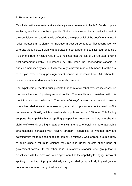#### **5: Results and Analysis**

Results from the inferential statistical analysis are presented in Table 1. For descriptive statistics, see Table 2 in the appendix. All the models report hazard ratios instead of the coefficients. A hazard ratio is defined as the exponential of the coefficient. Hazard ratios greater than 1 signify an increase in post-agreement conflict recurrence risk whereas those below 1 signify a decrease in post-agreement conflict recurrence risk. To demonstrate, a hazard ratio of 1.3 indicates that the risk of a dyad experiencing post-agreement conflict is increased by 30% when the independent variable in question increases by one unit. Alternatively, a hazard ratio of 0.5 means that the risk of a dyad experiencing post-agreement conflict is decreased by 50% when the respective independent variable increases by one unit.

The hypothesis presented prior predicts that as relative rebel strength increases, so too does the risk of post-agreement conflict. The results are consistent with this prediction, as shown in Model 1. The variable '*strength'* shows that a one unit increase in relative rebel strength increases a dyad's risk of post-agreement armed conflict recurrence by 59.6%, which is statistically significant at the 0.05 level. This finding supports the capability-based spoiling perspective presenting earlier, whereby the viability of violently spoiling an agreement with the hope of obtaining more favourable circumstances increases with relative strength. Regardless of whether they are satisfied with the terms of a peace agreement, a relatively weaker rebel group is likely to abide since a return to violence may result in further defeats at the hand of government forces. On the other hand, a relatively stronger rebel group that is dissatisfied with the provisions of an agreement has the capability to engage in violent spoiling. Violent spoiling by a relatively stronger rebel group is likely to yield greater concessions or even outright military victory.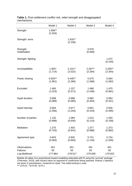|                           | Model 1            | Model 2            | Model 3          | Model 4          |
|---------------------------|--------------------|--------------------|------------------|------------------|
| Strength                  | 1.596**<br>(2.303) |                    |                  |                  |
| Strength: arms            |                    | 1.816**<br>(2.158) |                  |                  |
| Strength:<br>mobilisation |                    |                    | 0.979<br>(0.069) |                  |
| Strength: fighting        |                    |                    |                  | 1.072<br>(0.240) |
| Incompatibility           | $1.902*$           | $2.101**$          | 2.287**          | 2.255**          |
|                           | (1.714)            | (2.022)            | (2.264)          | (2.354)          |
| Power sharing             | $0.504**$          | $0.440**$          | 0.575            | 0.564            |
|                           | (1.961)            | (2.366)            | (1.568)          | (1.582)          |
| Excluded                  | 1.460              | 1.157              | 1.486            | 1.470            |
|                           | (1.023)            | (0.371)            | (1.049)          | (0.991)          |
| Dyad duration             | 0.998              | 0.998              | 0.992            | 0.993            |
|                           | (0.089)            | (0.080)            | (0.354)          | (0.321)          |
| Dyad intensity            | 0.694              | 0.677              | 0.851            | 0.826            |
|                           | (1.056)            | (1.044)            | (0.419)          | (0.495)          |
| Number of parties         | 1.132              | 1.084              | 1.013            | 1.020            |
|                           | (0.988)            | (0.640)            | (0.110)          | (0.158)          |
| Mediation                 | 1.275              | 1.403              | 1.377            | 1.373            |
|                           | (0.703)            | (0.941)            | (0.888)          | (0.882)          |
| Agreement type            | 0.843              | 0.832              | 0.721            | 0.734            |
|                           | (0.583)            | (0.663)            | (1.144)          | (1.030)          |
| Observations              | 451                | 451                | 451              | 451              |
| <b>Failures</b>           | 55                 | 55                 | 55               | 55               |
| Log likelihood            | $-177.864$         | $-178.517$         | -179.939         | -179.922         |

### **Table 1.** *Post-settlement conflict risk, rebel strength and disaggregated mechanisms.*

Models all utilise Cox proportional hazard modelling estimated with R using the 'survival' package (Therneau, 2019), with hazard ratios as opposed to coefficients being reported. Robust z statistics are given in parentheses, clustered on dyad. Two tailed testing is used.

\*\*\* p<0.01, \*\*p<0.05, \*p<0.1.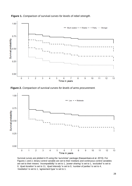

**Figure 1.** *Comparison of survival curves for levels of rebel strength.*

**Figure 2.** *Comparison of survival curves for levels of arms procurement.*



Survival curves are plotted in R using the 'survminer' package (Kassambara et al. 2019). For Figures 1 and 2, binary control variable are set to their medians and continuous control variables are set to their means: *'incompatibility'* is set to 1, *'power sharing'* is set to 1, *'excluded'* is set to 0, *'dyad duration'* is set to 11, *'dyad intensity'* is set to 0, *'number of parties'* is set to 4, *'mediation'* is set to 1, *'agreement type'* is set to 1.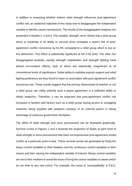In addition to assessing whether relative rebel strength influences post-agreement conflict risk, an additional objective of this study was to disaggregate the independent variable to identify causal mechanisms. The results of the disaggregated analyses are presented in Models 2, 3 and 4. The variable *'strength: arms'* shows that a rebel group which is moderate in its ability to procure arms increases a dyad's risk of postagreement conflict recurrence by 81.6% compared to a rebel group which is low on this dimension. This effect is statistically significant at the 0.05 level. The other two disaggregated variables, namely *'strength: mobilisation'* and *'strength: fighting'* have almost non-existent effects, both of which are statistically insignificant at all conventional levels of significance. Rebel ability to mobilise popular support and rebel fighting proficiency are thus found to have no association with post-agreement conflict recurrence risk. These results suggest that the primary determinant of whether or not a rebel group can viably violently spoil a peace agreement is a sufficient ability to obtain weaponry. Therefore, it can be expected that post-agreement conflict risk increases in tandem with factors such as a rebel group having access to smuggling networks, being supplied with weapons courtesy of an external patron or taking advantage of unsecure government stockpiles.

The effect of rebel strength and arms procurement can be illustrated graphically. Survival curves in Figures 1 and 2 illustrate the proportion of dyads at each level of rebel strength or arms procurement that have not experienced post-agreement armed conflict at a particular point in time. These survival curves are generated by fixing the binary control variables to their medians and the continuous control variables to their means and then varying the independent variable of interest. Binary control variables are set to their medians to avoid the issue of fixing the control variables to values which do not refer to any real cohort. For example, the mean of *'incompatibility'* is 0.612,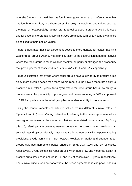whereby 0 refers to a dyad that has fought over government and 1 refers to one that has fought over territory. As Thomsen et al. (1991) have pointed out, values such as the mean of *'incompatibility'* do not refer to a real subject. In order to avoid this issue and for ease of interpretation, survival curves are plotted with binary control variables being fixed to their median values.

Figure 1 illustrates that post-agreement peace is more durable for dyads involving weaker rebel groups. After 13 years (the duration of the observation period) for a dyad where the rebel group is much weaker, weaker, on parity or stronger, the probability that post-agreement peace endures is 62%, 47%. 25% and 12% respectively.

Figure 2 illustrates that dyads where rebel groups have a low ability to procure arms enjoy more durable peace than those where rebel groups have a moderate ability to procure arms. After 13 years, for a dyad where the rebel group has a low ability to procure arms, the probability of post-agreement peace enduring is 54% as opposed to 33% for dyads where the rebel group has a moderate ability to procure arms.

Fixing the control variables at different values returns different survival rates. In Figures 1 and 2, *'power sharing'* is fixed to 1, referring to the peace agreement which was signed containing at least one pact that accommodated power sharing. By fixing this to 0, referring to the peace agreement containing no power sharing provisions, all survival rates drop considerably. After 13 years for agreements with no power sharing provisions, dyads containing much weaker, weaker, on parity and stronger rebel groups saw post-agreement peace endure in 38%, 20%, 10% and 2% of cases, respectively. Dyads containing rebel groups which had a low and moderate ability to procure arms saw peace endure in 7% and 1% of cases over 13 years, respectively. The survival curves for a scenario where the peace agreement has no power sharing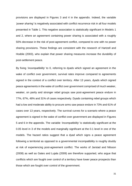provisions are displayed in Figures 3 and 4 in the appendix. Indeed, the variable *'power sharing'* is negatively associated with conflict recurrence risk in all four models presented in Table 1. This negative association is statistically significant in Models 1 and 2, where an agreement containing power sharing is associated with a roughly 50% decrease in the risk of post-agreement conflict, compared to one with no power sharing provisions. These findings are consistent with the research of Hartzell and Hoddie (2003), who explain that power sharing measures increase the durability of post-settlement peace.

By fixing *'incompatibility'* to 0, referring to dyads which signed an agreement in the wake of conflict over government, survival rates improve compared to agreements signed in the context of a conflict over territory. After 13 years, dyads which signed peace agreements in the wake of conflict over government comprised of much weaker, weaker, on parity and stronger rebel groups saw post-agreement peace endure in 77%, 67%, 48% and 31% of cases respectively. Dyads containing rebel groups which had a low and moderate ability to procure arms saw peace endure in 73% and 61% of cases over 13 years, respectively. The survival curves for a scenario where a peace agreement is signed in the wake of conflict over government are displayed in Figures 5 and 6 in the appendix. The variable *'incompatibility'* is statistically significant at the 0.05 level in 3 of the models and marginally significant at the 0.1 level in one of the models. The hazard ratios suggest that a dyad which signs a peace agreement following a territorial as opposed to a governmental incompatibility is roughly doubly at risk of experiencing post-agreement conflict. The works of Jarstad and Nilsson (2008) as well as Gates and Lujala (2009) are therefore supported, who argue that conflicts which are fought over control of a territory have lower peace prospects than those which are fought over control of the government.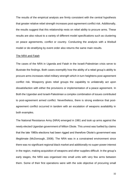The results of the empirical analysis are firmly consistent with the central hypothesis that greater relative rebel strength increases post-agreement conflict risk. Additionally, the results suggest that this relationship rests on rebel ability to procure arms. These results are also robust to a variety of different model specifications such as clustering on peace agreements, conflict or country. Conducting the analysis with a Weibull model or de-stratifying by event order also returns the same main results.

#### The NRA and Fatah

The cases of the NRA in Uganda and Fatah in the Israeli-Palestinian crisis serve to illustrate the findings. Both cases exemplify how the ability of a rebel group's ability to procure arms increases rebel military strength which in turn heightens post-agreement conflict risk. Weaponry gives rebel groups the capability to unilaterally act upon dissatisfaction with either the provisions or implementation of a peace agreement. In Both the Ugandan and Israeli-Palestinian a complex combination of issues contributed to post-agreement armed conflict. Nevertheless, there is strong evidence that postagreement conflict occurred in tandem with an escalation of weapons availability in both examples.

The National Resistance Army (NRA) emerged in 1981 and took up arms against the newly elected Ugandan government of Milton Obote. This unrest was fuelled by claims that the late 1980s elections had been rigged and therefore Obote's government was illegitimate (McDonough, 2008). The NRA was in a constrained environment since there was no significant regional black market and additionally no super-power interest in the region, making acquisition of weapons and other supplies difficult. In the group's early stages, the NRA was organised into small units with very few arms between them. Some of their first operations were with the sole objective of procuring small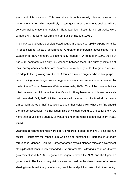arms and light weapons. This was done through carefully planned attacks on government targets which were likely to store government armaments such as military convoys, police stations or isolated military facilities. These hit and run tactics were what the NRA relied on for arms and ammunition (Ngoga, 1998).

The NRA took advantage of disaffected southern Uganda to rapidly expand its ranks in opposition to Obote's government. A greater membership necessitated more weaponry for new members to become fully fledged NRA fighters. In 1993, the NRA had 4000 combatants but only 500 weapons between them. The primary limitation of their military ability was therefore the amount of weaponry under the group's control. To adapt to their growing size, the NRA formed a mobile brigade whose sole purpose was pursuing more dangerous and aggressive arms procurement efforts, headed by the brother of Yoweri Museveni (Katumba-Wamala, 2000). One of the more ambitious missions was the 1984 attack on the Masindi military barracks, which was relatively well defended. Only half of NRA members who carried out the Masindi raid were armed, with the other half instructed to equip themselves with what they find should the raid be successful. This risk laden mission yielded around 900 rifles for the NRA, more than doubling the quantity of weapons under the rebel's control overnight (Kato, 1985).

Ugandan government forces were poorly prepared to adapt to the NRA's hit and run tactics. Resultantly the rebel group was able to substantially increase in strength throughout Ugandan Bush War, largely afforded by well-planned raids on government stockpiles that continuously expanded NRA armaments. Following a coup on Obote's government in July 1985, negotiations began between the NRA and the Ugandan government. The Nairobi negotiations were focused on the development of a power sharing formula with the goal of ending hostilities and political instability in the country.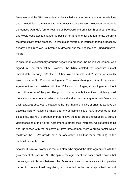Museveni and the NRA were clearly dissatisfied with the premise of the negotiations and showed little commitment to any power sharing solution. Museveni repeatedly denounced Uganda's former regimes as backward and primitive throughout the talks and would consistently change his position on fundamental agenda items, derailing the productivity of the process. He would also reintroduce issues that had supposedly already been resolved, substantially drawing out the negotiations (Tindigarukayo, 1988).

In spite of an exceptionally arduous negotiating process, the Nairobi Agreement was signed in December 1985. However, the NRA violated the ceasefire almost immediately. By early 1986, the NRA had taken Kampala and Museveni was swiftly sworn in as the 9th President of Uganda. The power sharing solution of the Nairobi Agreement was inconsistent with the NRA's vision of forging a new Uganda without the political order of the past. The group thus had ample incentives to violently spoil the Nairobi Agreement in order to unilaterally alter the status quo in their favour. As Lucima (2002) observes, the fact that the NRA had the military strength to achieve an absolute victory makes it unlikely that any settlement could have prevented further bloodshed. The NRA's strength therefore gave the rebel group the capability to pursue violent spoiling of the Nairobi Agreement to further their interests. Well strategized hit and run tactics with the objective of arms procurement were a critical factor which facilitated the NRA's growth as a military entity. This that made returning to the battlefield a viable option.

Another illustrative example is that of Fatah, who signed the Oslo Agreement with the government of Israel in 1993. The spirit of the agreement was based on the notion that the antagonistic history between the Palestinians and Israelis was an insuperable barrier for conventional negotiating and needed to be reconceptualised around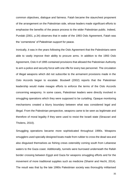common objectives, dialogue and fairness. Fatah became the staunchest proponent of the arrangement on the Palestinian side, whose leaders made significant efforts to emphasise the benefits of the peace process to the wider Palestinian public. Indeed, Pundak (2001, p.34) observes that in wake of the 1993 Oslo Agreement, Fatah was the 'cornerstone' of Palestinian support for peace.

Ironically, it was in the years following the Oslo Agreement that the Palestinians were able to vastly improve their ability to procure arms. In addition to the 1993 Oslo Agreement, Oslo II of 1995 contained provisions that allowed the Palestinian Authority to arm a police and security force with one rifle for every two personnel. The circulation of illegal weapons which did not subscribe to the armament provisions made in the Oslo Accords began to escalate. Boutwell (2002) reports that the Palestinian leadership would make meagre efforts to enforce the terms of the Oslo Accords concerning weaponry. In some cases, Palestinian leaders were directly involved in smuggling operations which they were supposed to be curtailing. Opaque monitoring mechanisms created a blurry boundary between what was considered legal and illegal. From the Palestinian perspective, weapons came to be seen as legitimate and therefore of moral legality if they were used to resist the Israeli state (Strazzari and Tholens, 2010).

Smuggling operations became more sophisticated throughout 1990s. Weapons smugglers used specially designed boats made from rubber to cross the dead sea and also disguised themselves as fishing crews ostensibly coming south from Lebanese waters to the Gaza coast. Additionally, tunnels were burrowed underneath the Rafah border crossing between Egypt and Gaza for weapons smuggling efforts and for the movement of more traditional supplies such as medicine (Shamir and Hecht, 2014). The result was that by the late 1990s Palestinian society was thoroughly militarised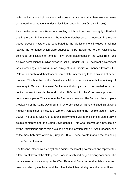with small arms and light weapons, with one estimate being that there were as many as 15,000 illegal weapons under Palestinian control in 1998 (Boutwell, 1998).

It was in the context of a Palestinian society which had become thoroughly militarised that in the latter half of the 1990s the Fatah leadership began to lose faith in the Oslo peace process. Factors that contributed to the disillusionment included Israel not leaving the territories which were supposed to be transferred to the Palestinians, continued confiscation of land for new Israeli settlements in the West Bank and delayed permission to build an airport in Gaza (Pundak, 2001). The Israeli government was increasingly behaving in an arrogant and dismissive manner towards the Palestinian public and their leaders, completely undermining faith in any sort of peace process. The humiliation the Palestinians felt in combination with the ubiquity of weaponry in Gaza and the West Bank meant that only a spark was needed for armed conflict to erupt towards the end of the 1990s and for the Oslo peace process to completely implode. This came in the form of two events. The first was the complete breakdown of the Camp David Summit, whereby Yasser Arafat and Ehud Barak were mutually intransigent on issues of territory, Jerusalem and the Temple Mount (Rosen, 2005). The second was Ariel Sharon's poorly timed visit to the Temple Mount only a couple of months after the Camp David debacle. This was received as a provocation by the Palestinians due to this site also being the location of the Al-Aqsa Mosque, one of the most holy sites of Islam (Burgess, 2004). These events marked the beginning of the Second Intifada.

The Second Intifada was led by Fatah against the Israeli government and represented a total breakdown of the Oslo peace process which had begun seven years prior. The pervasiveness of weaponry in the West Bank and Gaza had undoubtably catalysed tensions, which gave Fatah and the other Palestinian rebel groups the capabilities to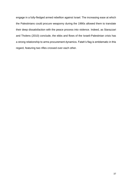engage in a fully-fledged armed rebellion against Israel. The increasing ease at which the Palestinians could procure weaponry during the 1990s allowed them to translate their deep dissatisfaction with the peace process into violence. Indeed, as Starazzari and Tholens (2010) conclude, the ebbs and flows of the Israeli-Palestinian crisis has a strong relationship to arms procurement dynamics. Fatah's flag is emblematic in this regard, featuring two rifles crossed over each other.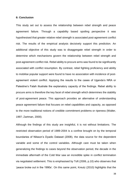#### **6: Conclusion**

This study set out to assess the relationship between rebel strength and peace agreement failure. Through a capability based spoiling perspective it was hypothesised that greater relative rebel strength is associated post-agreement conflict risk. The results of the empirical analysis decisively support this prediction. An additional objective of this study was to disaggregate rebel strength in order to determine which mechanisms govern the relationship between rebel strength and post-agreement conflict risk. Rebel ability to procure arms was found to be significantly associated with conflict resumption. By contrast, rebel fighting proficiency and ability to mobilise popular support were found to have no association with incidence of postagreement violent conflict. Applying the results to the cases of Uganda's NRA or Palestine's Fatah illustrate the explanatory capacity of the findings. Rebel ability to procure arms is therefore the key facet of rebel strength which determines the stability of post-agreement peace. This approach provides an alternative of understanding peace agreement failure that focuses on rebel capabilities and capacity, as opposed to the more traditional notions of credible commitment problems or ripeness (Walter, 1997; Zartman, 2000).

Although the findings of this study are insightful, it is not without limitations. The restricted observation period of 1989-2004 is a confine brought on by the temporal boundaries of Nilsson's Dyadic Dataset (2008), the data source for the dependent variable and some of the control variables. Although care must be taken when generalizing the findings to cases beyond the observation period, the decade in the immediate aftermath of the Cold War saw an incredible spike in conflict termination via negotiated settlement. This is emphasised by Toft (2006, p.10) who observes that 'peace broke out in the 1990s'. On this same point, Kreutz (2010) highlights that the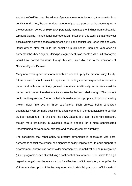end of the Cold War was the advent of peace agreements becoming the norm for how conflicts end. Thus, the tremendous amount of peace agreements that were signed in the observation period of 1989-2004 potentially insulates the findings from substantial temporal biasing. An additional methodological limitation of this study is that the lowest possible time between peace agreement signing and conflict recurrence was one year. Rebel groups often return to the battlefield much sooner than one year after an agreement has been signed. Using post-agreement dyad month as the unit of analysis would have solved this issue, though this was unfeasible due to the limitations of Nilsson's Dyadic Dataset.

Many new exciting avenues for research are opened up by the present study. Firstly, future research should seek to replicate the findings on an expanded observation period and with a more finely grained time scale. Additionally, more work must be carried out to determine what exactly is meant by the term rebel strength. The concept could be disaggregated further, with the three dimensions proposed in this study being broken down into two or three sub-factors. Such projects being conducted quantitatively will be made possible by advancements in the data available to conflict studies researchers. To this end, the NSA dataset is a step in the right direction, though more granularity in available data is needed for a more sophisticated understanding between rebel strength and peace agreement durability.

The conclusion that rebel ability to procure armaments is associated with postagreement conflict recurrence has significant policy implications. It lends support to disarmament initiatives as part of wider disarmament, demobilization and reintegration (DDR) programs aimed at stabilising a post-conflict environment. DDR is held to a high regard amongst practitioners as a tool for effective conflict resolution, exemplified by Kofi Anan's description of the technique as 'vital to stabilizing a post-conflict situation'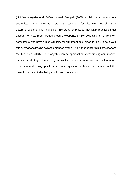(UN Secretary-General, 2000). Indeed, Muggah (2005) explains that government strategists rely on DDR as a pragmatic technique for disarming and ultimately deterring spoilers. The findings of this study emphasise that DDR practises must account for how rebel groups procure weapons: simply collecting arms from excombatants who have a high capacity for armament acquisition is likely to be a vain effort. Weapons tracing as recommended by the UN's handbook for DDR practitioners (de Tessières, 2018) is one way this can be approached. Arms tracing can uncover the specific strategies that rebel groups utilise for procurement. With such information, policies for addressing specific rebel arms acquisition methods can be crafted with the overall objective of alleviating conflict recurrence risk.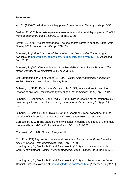## **References**

Art, R., (1980) To what ends military power?. *International Security*, *4*(4), pp.3-35.

Badran, R., (2014) Intrastate peace agreements and the durability of peace. *Conflict Management and Peace Science*, *31*(2), pp.193-217.

Bevan, J., (2005) Violent exchanges: The use of small arms in conflict. *Small Arms Survey 2005: Weapons at War*, pp.179-203.

Boutwell, J., (1998) A Gusher of Illegal Weapons*. Los Angeles Times*, August. Available at: [http://articles.latimes.com/1998/aug/16/opinion/op-13644.](http://articles.latimes.com/1998/aug/16/opinion/op-13644) [Accessed: July 2019]

Boutwell, J., (2002) Weaponization of the Israeli-Palestinian Peace Process. *The Brown Journal of World Affairs*, *9*(1), pp.293-304.

Box-Steffensmeier, J. and Jones, B., (2004) *Event history modeling: A guide for social scientists*. Cambridge University Press.

Buhaug, H., (2010) Dude, where's my conflict? LSG, relative strength, and the location of civil war. *Conflict Management and Peace Science*, *27*(2), pp.107-128.

Buhaug, H., Cederman, L. and Rød, J., (2008) Disaggregating ethno-nationalist civil wars: A dyadic test of exclusion theory. *International Organization*, *62*(3), pp.531- 551.

Buhaug, H., Gates, S. and Lujala, P., (2009) Geography, rebel capability, and the duration of civil conflict. *Journal of Conflict Resolution*, *53*(4), pp.544-569.

Burgess, P., (2004) The sacred site in civil space: meaning and status of the temple mount/al‐Haram al‐Sharif. *Social Identities*, *10*(3), pp.311-323.

Clausewitz, C., 1982. *On war*. Penguin UK.

Cox, D., (1972) Regression models and life‐tables. *Journal of the Royal Statistical Society: Series B (Methodological)*, *34*(2), pp.187-202. Cunningham, D., Gleditsch, K. and Salehyan, I., (2013) Non-state actors in civil wars: A new dataset. *Conflict Management and Peace Science*, *30*(5), pp.516-531.

Cunningham, D., Gleditsch, K. and Salehyan, I., (2013) Non-State Actors in Armed Conflict Dataset. Available at:<http://ksgleditsch.com/eacd.html> [Accessed: July 2019]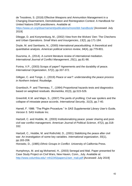de Tessières, S. (2018) Effective Weapons and Ammunition Management in a Changing Disarmament, Demobilization and Reintegration Context: A Handbook for United Nations DDR practitioners. Available at:

<https://www.un.org/disarmament/publications/more/ddr-handbook/> [Accessed: July 2019]

Dilegge, D. and Konynenburg, M., (2002) View from the Wolves' Den: The Chechens and Urban Operations. *Small Wars and Insurgencies*, *13*(2), pp.171-184.

Doyle, M. and Sambanis, N., (2000) International peacebuilding: A theoretical and quantitative analysis. *American political science review*, *94*(4), pp.779-801.

Duursma, A., (2014). A current literature review of international mediation. *International Journal of Conflict Management*, *25*(1), pp.81-98.

Fortna, V.P., (2003) Scraps of paper? Agreements and the durability of peace. *International Organization*, *57*(2), pp.337-372.

Gilligan, C. and Tonge, J., (2019) *Peace or war?: understanding the peace process in Northern Ireland*. Routledge.

Grambsch, P. and Therneau, T., (1994) Proportional hazards tests and diagnostics based on weighted residuals. *Biometrika*, *81*(3), pp.515-526.

Greenhill, K.M. and Major, S., (2007) The perils of profiling: Civil war spoilers and the collapse of intrastate peace accords. *International Security*, *31*(3), pp.7-40.

Harrell, F. 1986. "The Phglm Procedure." In *SAS Supplemental Library User's Guide, Version 5*. SAS Institute Inc.

Hartzell, C. and Hoddie, M., (2003) Institutionalizing peace: power sharing and post‐ civil war conflict management. *American Journal of Political Science*, *47*(2), pp.318- 332.

Hartzell, C., Hoddie, M. and Rothchild, D., (2001) Stabilizing the peace after civil war: An investigation of some key variables. *International organization*, *55*(1), pp.183-208.

Horowitz, D., (1985) *Ethnic Groups in Conflict*. University of California Press.

Humphreys, M. and ag Mohamed, H., (2003) Senegal and Mali. Paper presented for Case Study Project on Civil Wars, New Haven, Conn., July. Available at: [http://www.columbia.edu/~mh2245/papers1/sen\\_mali.pdf](http://www.columbia.edu/~mh2245/papers1/sen_mali.pdf) [Accessed: July 2019]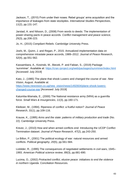Jackson, T., (2010) From under their noses: Rebel groups' arms acquisition and the importance of leakages from state stockpiles. *International Studies Perspectives*, *11*(2), pp.131-147.

Jarstad, A. and Nilsson, D., (2008) From words to deeds: The implementation of power-sharing pacts in peace accords. *Conflict management and peace science*, *25*(3), pp.206-223.

Jo, H., (2015) *Compliant Rebels*. Cambridge University Press.

Joshi, M., Quinn, J. and Regan, P., 2015. Annualized implementation data on comprehensive intrastate peace accords, 1989–2012. *Journal of Peace Research*, *52*(4), pp.551-562.

Kassambara, A., Kosinski, M., Biecek, P. and Fabian, S., (2019) Package 'survminer'. Available at:<https://cran.rproject.org/web/packages/survminer/index.html> [Accessed: July 2019]

Kato, J., (1985) The plane that shook Luwero and changed the course of war. *New Vision,* August. Available at: [https://www.newvision.co.ug/new\\_vision/news/1492604/plane-shook-luwero](https://www.newvision.co.ug/new_vision/news/1492604/plane-shook-luwero-changed-course-war)[changed-course-war](https://www.newvision.co.ug/new_vision/news/1492604/plane-shook-luwero-changed-course-war) [Accessed: July 2019]

Katumba‐Wamala, E., (2000) The National resistance army (NRA) as a guerrilla force. *Small Wars & Insurgencies, 11*(3), pp.160-171.

Kleiboer, M., (1994). Ripeness of conflict: a fruitful notion? *Journal of Peace Research*, *31*(1), pp.109-116.

Krause, K., (1995) *Arms and the state: patterns of military production and trade* (No. 22). Cambridge University Press.

Kreutz, J., (2010) How and when armed conflicts end: Introducing the UCDP Conflict Termination dataset. *Journal of Peace Research*, *47*(2), pp.243-250.

Le Billon, P., (2001) The political ecology of war: natural resources and armed conflicts. *Political geography*, *20*(5), pp.561-584.

Licklider, R., (1995) The consequences of negotiated settlements in civil wars, 1945– 1993. *American Political science review*, *89*(3), pp.681-690.

Lucima, O., (2002) *Protracted conflict, elusive peace: initiatives to end the violence in northern Uganda*. Conciliation Resources.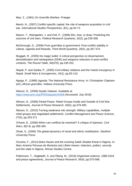Mao, Z., (1961) *On Guerrilla Warfare*. Praeger.

Marsh, N., (2007) Conflict specific capital: the role of weapons acquisition in civil war. *International Studies Perspectives*, *8*(1), pp.54-72.

Mason, T., Weingarten, J. and Fett, P., (1999) Win, lose, or draw: Predicting the outcome of civil wars. *Political Research Quarterly*, *52*(2), pp.239-268.

McDonough, D., (2008) From guerrillas to government: Post-conflict stability in Liberia, Uganda and Rwanda. *Third World Quarterly*, *29*(2), pp.357-374.

Muggah, R., (2005) No magic bullet: A critical perspective on disarmament, demobilization and reintegration (DDR) and weapons reduction in post-conflict contexts. *The Round Table*, *94*(379), pp.239-252.

Nepali, P. and Subba, P., (2005) Civil-military relations and the maoist insurgency in Nepal. *Small Wars & Insurgencies*, *16*(1), pp.83-110.

Ngoga, P., (1998) Uganda: The National Resistance Army. In: Christopher Clapham (ed.) *African guerrillas*. Indiana University Press.

Nilsson, D., (2008) Dyadic Dataset. Available at: <https://www.prio.org/JPR/Datasets/#2008> [Accessed: July 2019]

Nilsson, D., (2008) Partial Peace: Rebel Groups Inside and Outside of Civil War Settlements. *Journal of Peace Research*, *45*(4), pp.479-495.

Nilsson, D., (2010) Turning weakness into strength: Military capabilities, multiple rebel groups and negotiated settlements. *Conflict Management and Peace Science*, *27*(3), pp.253-271

O'Kane, E., (2006) When can conflicts be resolved? A critique of ripeness. *Civil Wars*, *8*(3-4), pp.268-284.

Olzak, S., (2006) *The global dynamics of racial and ethnic mobilization*. Stanford University Press.

Onuoha, F., (2014) Boko Haram and the evolving Salafi Jihadist threat in Nigeria. In: Marc-Antoine Pérouse de Montclos (ed.) *Boko Haram: Islamism, politics, security and the state in Nigeria*, African Studies Centre.

Pettersson, T., Högbladh, S. and Öberg, M., (2019) Organized violence, 1989-2018 and peace agreements, *Journal of Peace Research, 56*(4), pp.575-588.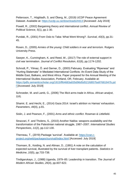Pettersson, T., Högbladh, S. and Öberg, M., (2019) UCDP Peace Agreement Dataset. Available at:<https://ucdp.uu.se/downloads/#d13> [Accessed: July 2019]

Powell, R., (2002) Bargaining theory and international conflict. *Annual Review of Political Science*, *5*(1), pp.1-30.

Pundak, R., (2001) From Oslo to Taba: What Went Wrong?. *Survival*, *43*(3), pp.31- 45.

Rosen, D., (2005) *Armies of the young: Child soldiers in war and terrorism*. Rutgers University Press.

Sawyer, K., Cunningham, K. and Reed, W., (2017) The role of external support in civil war termination. *Journal of Conflict Resolution*, *61*(6), pp.1174-1202.

Schrodt, P., Yilmaz, Ö. and Gerner, D., (2003) February. Evaluating "Ripeness" and "Hurting Stalemate" in Mediated International Conflicts: An Event Data Study of the Middle East, Balkans, and West Africa. Paper prepared for the Annual Meeting of the International Studies Association, Portland, OR, February. Available at: [https://pdfs.semanticscholar.org/1915/ff64683a835d96d5d521fd857ba97681947b.pd](https://pdfs.semanticscholar.org/1915/ff64683a835d96d5d521fd857ba97681947b.pdf) [f](https://pdfs.semanticscholar.org/1915/ff64683a835d96d5d521fd857ba97681947b.pdf) [Accessed: July 2019]

Schroeder, M. and Lamb, G., (2006) The Illicit arms trade in Africa. *African analyst*, *1*(4).

Shamir, E. and Hecht, E., (2014) Gaza 2014: Israel's attrition vs Hamas' exhaustion. *Parameters*, *44*(4), p.81.

Sislin, J. and Pearson, F., (2001) *Arms and ethnic conflict*. Rowman & Littlefield.

Strazzari, F. and Tholens, S., (2010) Another Nakba: weapons availability and the transformation of the Palestinian national struggle, 1987–2007. *International Studies Perspectives*, *11*(2), pp.112-130.

Therneau, T., (2019) Package 'survival'. Available at: [https://cran.r](https://cran.r-project.org/web/packages/survival/index.html)[project.org/web/packages/survival/index.html](https://cran.r-project.org/web/packages/survival/index.html) [Accessed: July 2019]

Thomsen, B., Keiding, N. and Altman, D., (1991) A note on the calculation of expected survival, illustrated by the survival of liver transplant patients. *Statistics in Medicine*, *10*(5), pp.733-738.

Tindigarukayo, J., (1988) Uganda, 1979–85: Leadership in transition. *The Journal of Modern African Studies*, *26*(4), pp.607-622.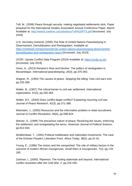Toft, M., (2006) Peace through security: making negotiated settlements stick. Paper prepared for the International Studies Association Annual Conference Paper, March. Available at:<http://www3.carleton.ca/csds/docs/Toft%20PTS.pdf> [Accessed: July 2019]

U.N. Secretary-General, (2000) The Role of United Nations Peacekeeping in Disarmament, Demobilization and Reintegration. Available at: [https://reliefweb.int/report/world/role-united-nations-peacekeeping-disarmament](https://reliefweb.int/report/world/role-united-nations-peacekeeping-disarmament-demobilization-and-reintegration-report)[demobilization-and-reintegration-report](https://reliefweb.int/report/world/role-united-nations-peacekeeping-disarmament-demobilization-and-reintegration-report) [Accessed: July 2019]

UCDP, Upsala Conflict Data Program (2019) Available at:<https://ucdp.uu.se/> [Accessed: July 2019]

Vines, A., (2013) Renamo's Rise and Decline: The politics of reintegration in Mozambique. *International peacekeeping*, *20*(3), pp.375-393.

Wagner, R., (1993) The causes of peace. *Stopping the killing: How civil wars end*, pp.235-268.

Walter, B., (1997) The critical barrier to civil war settlement. *International organization*, *51*(3), pp.335-364.

Walter, B.F., (2004) Does conflict beget conflict? Explaining recurring civil war. *Journal of Peace Research*, *41*(3), pp.371-388.

Weinstein, J., (2005) Resources and the information problem in rebel recruitment. *Journal of Conflict Resolution*, *49*(4), pp.598-624.

Werner, S., (1999) The precarious nature of peace: Resolving the issues, enforcing the settlement, and renegotiating the terms. *American Journal of Political Science*, pp.912-934.

Woldemikael, T., (1991) Political mobilization and nationalist movements: The case of the Eritrean People's Liberation Front. *Africa Today*, *38*(2), pp.31-42.

Young, E., (1996) The victors and the vanquished: The role of military factors in the outcome of modern African insurgencies. *Small Wars & Insurgencies*, *7*(2), pp.178- 195.

Zartman, I., (2000). Ripeness: The hurting stalemate and beyond. *International conflict resolution after the Cold War*, *2*, pp.225-250.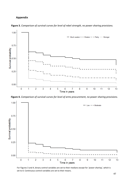## **Appendix**



**Figure 3.** *Comparison of survival curves for level of rebel strength, no power sharing provisions.*

**Figure 4.** *Comparison of survival curves for level of arms procurement, no power sharing provisions.*



For Figures 3 and 4, binary control variables are set to their medians except for *'power sharing'*, which is set to 0. Continuous control variables are set to their means.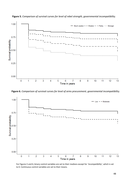

**Figure 5.** *Comparison of survival curves for level of rebel strength, governmental incompatibility.*

**Figure 6.** *Comparison of survival curves for level of arms procurement, governmental incompatibility.*



For Figures 5 and 6, binary control variables are set to their medians except for *'incompatibility'*, which is set to 0. Continuous control variables are set to their means.